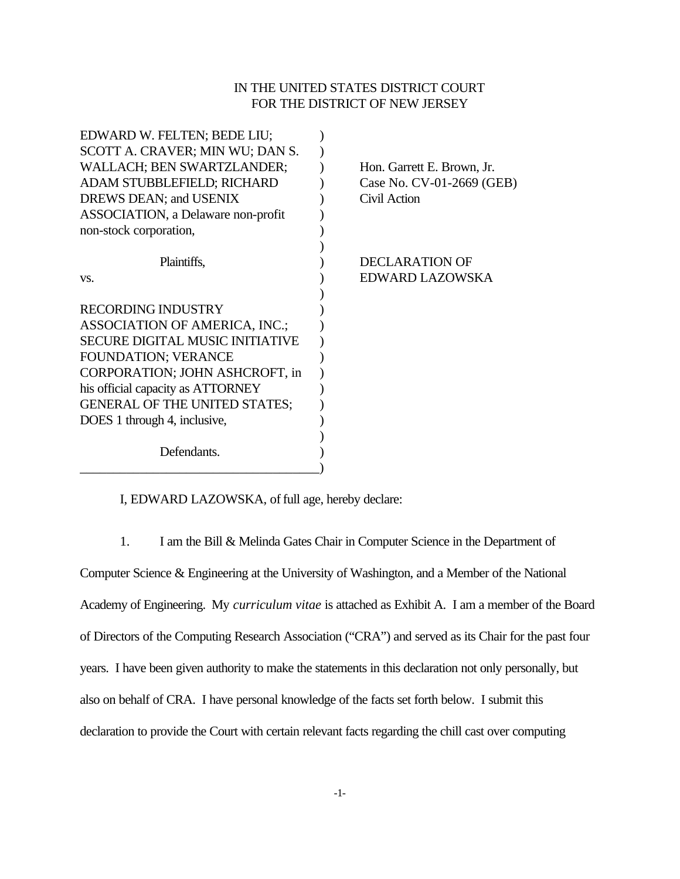## IN THE UNITED STATES DISTRICT COURT FOR THE DISTRICT OF NEW JERSEY

| EDWARD W. FELTEN; BEDE LIU;            |                            |
|----------------------------------------|----------------------------|
| SCOTT A. CRAVER; MIN WU; DAN S.        |                            |
| WALLACH; BEN SWARTZLANDER;             | Hon. Garrett E. Brown, Jr. |
| ADAM STUBBLEFIELD; RICHARD             | Case No. CV-01-2669 (GEB)  |
| DREWS DEAN; and USENIX                 | Civil Action               |
| ASSOCIATION, a Delaware non-profit     |                            |
| non-stock corporation,                 |                            |
|                                        |                            |
| Plaintiffs,                            | <b>DECLARATION OF</b>      |
| VS.                                    | EDWARD LAZOWSKA            |
|                                        |                            |
| <b>RECORDING INDUSTRY</b>              |                            |
| ASSOCIATION OF AMERICA, INC.;          |                            |
| <b>SECURE DIGITAL MUSIC INITIATIVE</b> |                            |
| <b>FOUNDATION; VERANCE</b>             |                            |
| CORPORATION; JOHN ASHCROFT, in         |                            |
| his official capacity as ATTORNEY      |                            |
| <b>GENERAL OF THE UNITED STATES;</b>   |                            |
| DOES 1 through 4, inclusive,           |                            |
|                                        |                            |
| Defendants.                            |                            |
|                                        |                            |

I, EDWARD LAZOWSKA, of full age, hereby declare:

1. I am the Bill & Melinda Gates Chair in Computer Science in the Department of

Computer Science & Engineering at the University of Washington, and a Member of the National Academy of Engineering. My *curriculum vitae* is attached as Exhibit A. I am a member of the Board of Directors of the Computing Research Association ("CRA") and served as its Chair for the past four years. I have been given authority to make the statements in this declaration not only personally, but also on behalf of CRA. I have personal knowledge of the facts set forth below. I submit this declaration to provide the Court with certain relevant facts regarding the chill cast over computing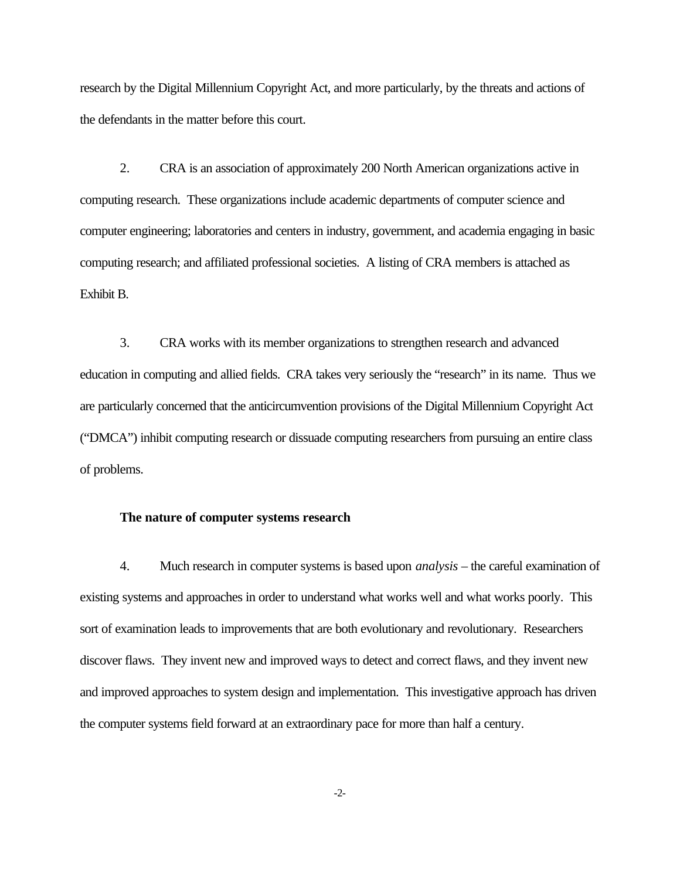research by the Digital Millennium Copyright Act, and more particularly, by the threats and actions of the defendants in the matter before this court.

2. CRA is an association of approximately 200 North American organizations active in computing research. These organizations include academic departments of computer science and computer engineering; laboratories and centers in industry, government, and academia engaging in basic computing research; and affiliated professional societies. A listing of CRA members is attached as Exhibit B.

3. CRA works with its member organizations to strengthen research and advanced education in computing and allied fields. CRA takes very seriously the "research" in its name. Thus we are particularly concerned that the anticircumvention provisions of the Digital Millennium Copyright Act ("DMCA") inhibit computing research or dissuade computing researchers from pursuing an entire class of problems.

## **The nature of computer systems research**

4. Much research in computer systems is based upon *analysis* – the careful examination of existing systems and approaches in order to understand what works well and what works poorly. This sort of examination leads to improvements that are both evolutionary and revolutionary. Researchers discover flaws. They invent new and improved ways to detect and correct flaws, and they invent new and improved approaches to system design and implementation. This investigative approach has driven the computer systems field forward at an extraordinary pace for more than half a century.

-2-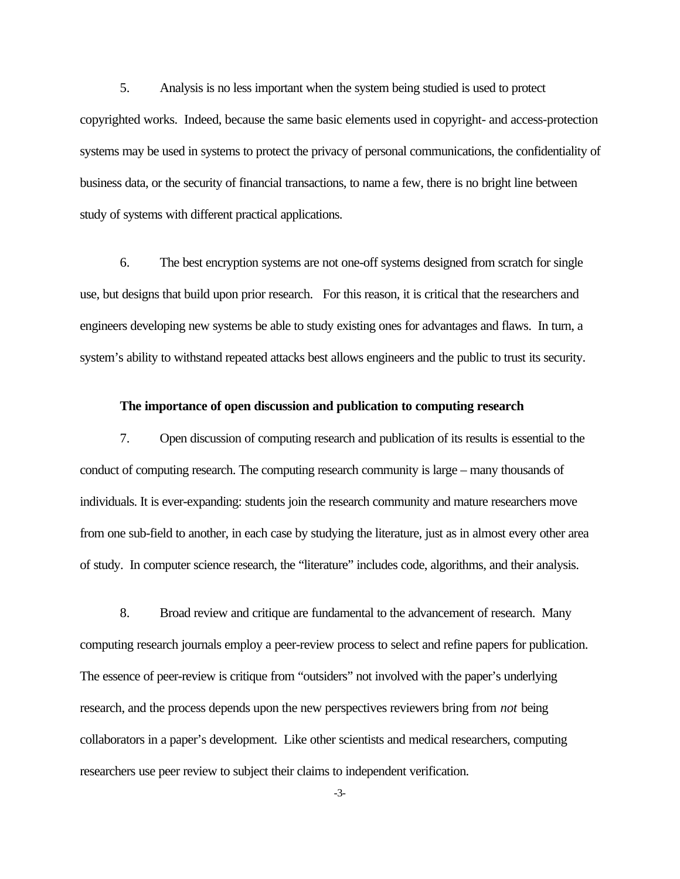5. Analysis is no less important when the system being studied is used to protect copyrighted works. Indeed, because the same basic elements used in copyright- and access-protection systems may be used in systems to protect the privacy of personal communications, the confidentiality of business data, or the security of financial transactions, to name a few, there is no bright line between study of systems with different practical applications.

6. The best encryption systems are not one-off systems designed from scratch for single use, but designs that build upon prior research. For this reason, it is critical that the researchers and engineers developing new systems be able to study existing ones for advantages and flaws. In turn, a system's ability to withstand repeated attacks best allows engineers and the public to trust its security.

## **The importance of open discussion and publication to computing research**

7. Open discussion of computing research and publication of its results is essential to the conduct of computing research. The computing research community is large – many thousands of individuals. It is ever-expanding: students join the research community and mature researchers move from one sub-field to another, in each case by studying the literature, just as in almost every other area of study. In computer science research, the "literature" includes code, algorithms, and their analysis.

8. Broad review and critique are fundamental to the advancement of research. Many computing research journals employ a peer-review process to select and refine papers for publication. The essence of peer-review is critique from "outsiders" not involved with the paper's underlying research, and the process depends upon the new perspectives reviewers bring from *not* being collaborators in a paper's development. Like other scientists and medical researchers, computing researchers use peer review to subject their claims to independent verification.

-3-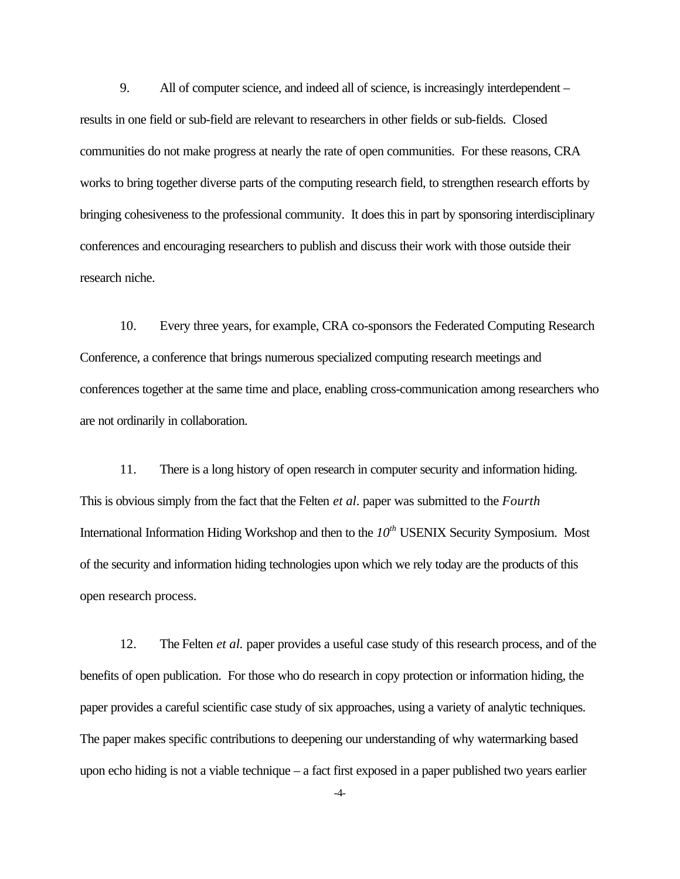9. All of computer science, and indeed all of science, is increasingly interdependent – results in one field or sub-field are relevant to researchers in other fields or sub-fields. Closed communities do not make progress at nearly the rate of open communities. For these reasons, CRA works to bring together diverse parts of the computing research field, to strengthen research efforts by bringing cohesiveness to the professional community. It does this in part by sponsoring interdisciplinary conferences and encouraging researchers to publish and discuss their work with those outside their research niche.

10. Every three years, for example, CRA co-sponsors the Federated Computing Research Conference, a conference that brings numerous specialized computing research meetings and conferences together at the same time and place, enabling cross-communication among researchers who are not ordinarily in collaboration.

11. There is a long history of open research in computer security and information hiding. This is obvious simply from the fact that the Felten *et al*. paper was submitted to the *Fourth* International Information Hiding Workshop and then to the *10th* USENIX Security Symposium. Most of the security and information hiding technologies upon which we rely today are the products of this open research process.

12. The Felten *et al.* paper provides a useful case study of this research process, and of the benefits of open publication. For those who do research in copy protection or information hiding, the paper provides a careful scientific case study of six approaches, using a variety of analytic techniques. The paper makes specific contributions to deepening our understanding of why watermarking based upon echo hiding is not a viable technique – a fact first exposed in a paper published two years earlier

-4-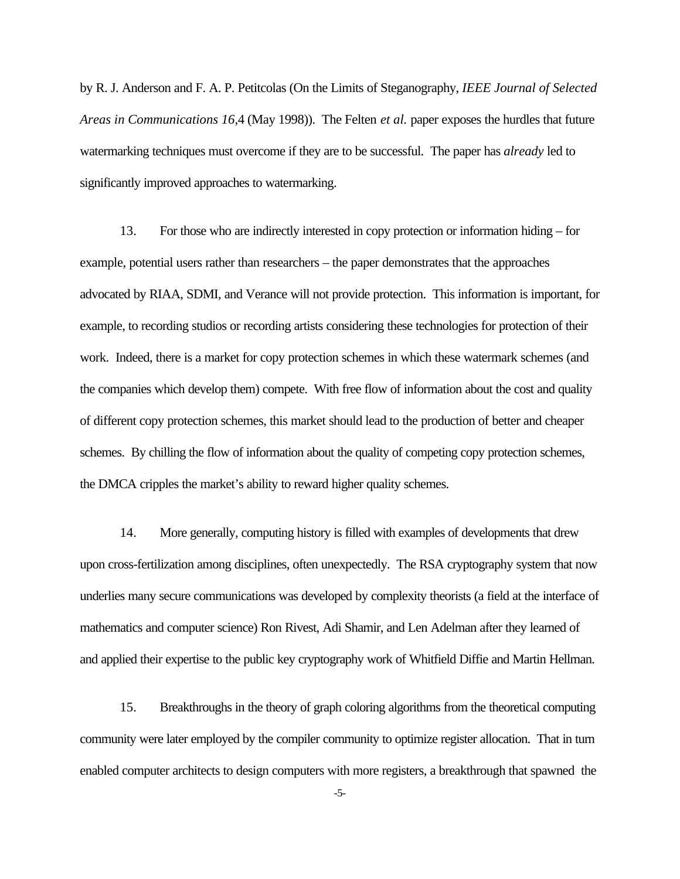by R. J. Anderson and F. A. P. Petitcolas (On the Limits of Steganography, *IEEE Journal of Selected Areas in Communications 16*,4 (May 1998)). The Felten *et al.* paper exposes the hurdles that future watermarking techniques must overcome if they are to be successful. The paper has *already* led to significantly improved approaches to watermarking.

13. For those who are indirectly interested in copy protection or information hiding – for example, potential users rather than researchers – the paper demonstrates that the approaches advocated by RIAA, SDMI, and Verance will not provide protection. This information is important, for example, to recording studios or recording artists considering these technologies for protection of their work. Indeed, there is a market for copy protection schemes in which these watermark schemes (and the companies which develop them) compete. With free flow of information about the cost and quality of different copy protection schemes, this market should lead to the production of better and cheaper schemes. By chilling the flow of information about the quality of competing copy protection schemes, the DMCA cripples the market's ability to reward higher quality schemes.

14. More generally, computing history is filled with examples of developments that drew upon cross-fertilization among disciplines, often unexpectedly. The RSA cryptography system that now underlies many secure communications was developed by complexity theorists (a field at the interface of mathematics and computer science) Ron Rivest, Adi Shamir, and Len Adelman after they learned of and applied their expertise to the public key cryptography work of Whitfield Diffie and Martin Hellman.

15. Breakthroughs in the theory of graph coloring algorithms from the theoretical computing community were later employed by the compiler community to optimize register allocation. That in turn enabled computer architects to design computers with more registers, a breakthrough that spawned the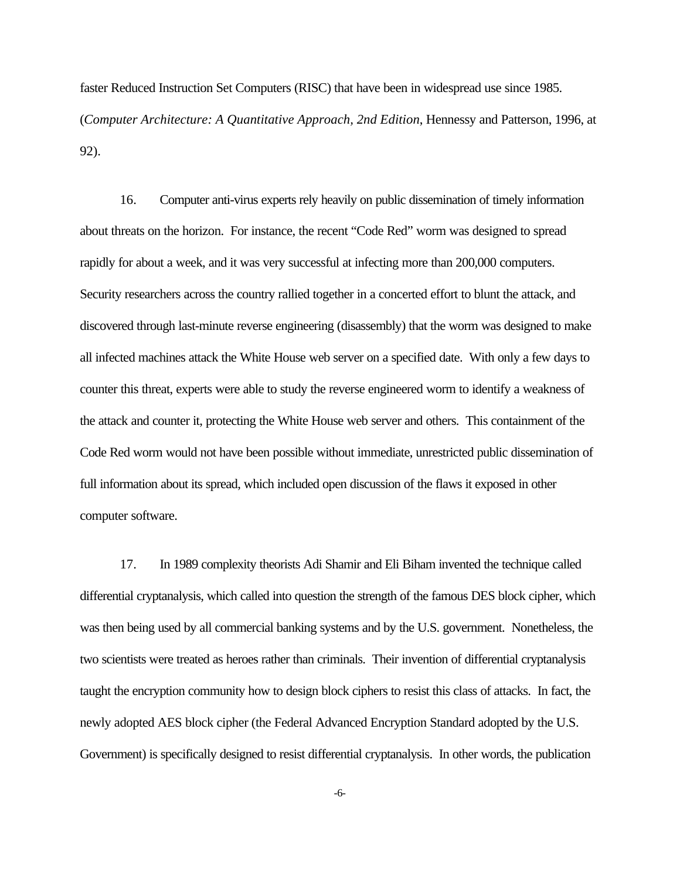faster Reduced Instruction Set Computers (RISC) that have been in widespread use since 1985. (*Computer Architecture: A Quantitative Approach, 2nd Edition*, Hennessy and Patterson, 1996, at 92).

16. Computer anti-virus experts rely heavily on public dissemination of timely information about threats on the horizon. For instance, the recent "Code Red" worm was designed to spread rapidly for about a week, and it was very successful at infecting more than 200,000 computers. Security researchers across the country rallied together in a concerted effort to blunt the attack, and discovered through last-minute reverse engineering (disassembly) that the worm was designed to make all infected machines attack the White House web server on a specified date. With only a few days to counter this threat, experts were able to study the reverse engineered worm to identify a weakness of the attack and counter it, protecting the White House web server and others. This containment of the Code Red worm would not have been possible without immediate, unrestricted public dissemination of full information about its spread, which included open discussion of the flaws it exposed in other computer software.

17. In 1989 complexity theorists Adi Shamir and Eli Biham invented the technique called differential cryptanalysis, which called into question the strength of the famous DES block cipher, which was then being used by all commercial banking systems and by the U.S. government. Nonetheless, the two scientists were treated as heroes rather than criminals. Their invention of differential cryptanalysis taught the encryption community how to design block ciphers to resist this class of attacks. In fact, the newly adopted AES block cipher (the Federal Advanced Encryption Standard adopted by the U.S. Government) is specifically designed to resist differential cryptanalysis. In other words, the publication

-6-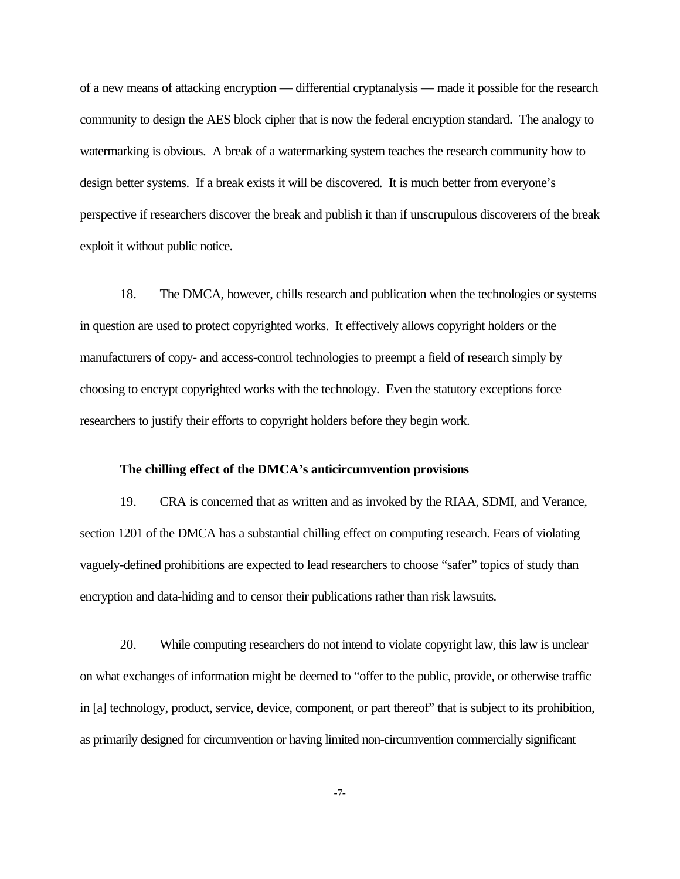of a new means of attacking encryption — differential cryptanalysis — made it possible for the research community to design the AES block cipher that is now the federal encryption standard. The analogy to watermarking is obvious. A break of a watermarking system teaches the research community how to design better systems. If a break exists it will be discovered. It is much better from everyone's perspective if researchers discover the break and publish it than if unscrupulous discoverers of the break exploit it without public notice.

18. The DMCA, however, chills research and publication when the technologies or systems in question are used to protect copyrighted works. It effectively allows copyright holders or the manufacturers of copy- and access-control technologies to preempt a field of research simply by choosing to encrypt copyrighted works with the technology. Even the statutory exceptions force researchers to justify their efforts to copyright holders before they begin work.

## **The chilling effect of the DMCA's anticircumvention provisions**

19. CRA is concerned that as written and as invoked by the RIAA, SDMI, and Verance, section 1201 of the DMCA has a substantial chilling effect on computing research. Fears of violating vaguely-defined prohibitions are expected to lead researchers to choose "safer" topics of study than encryption and data-hiding and to censor their publications rather than risk lawsuits.

20. While computing researchers do not intend to violate copyright law, this law is unclear on what exchanges of information might be deemed to "offer to the public, provide, or otherwise traffic in [a] technology, product, service, device, component, or part thereof" that is subject to its prohibition, as primarily designed for circumvention or having limited non-circumvention commercially significant

-7-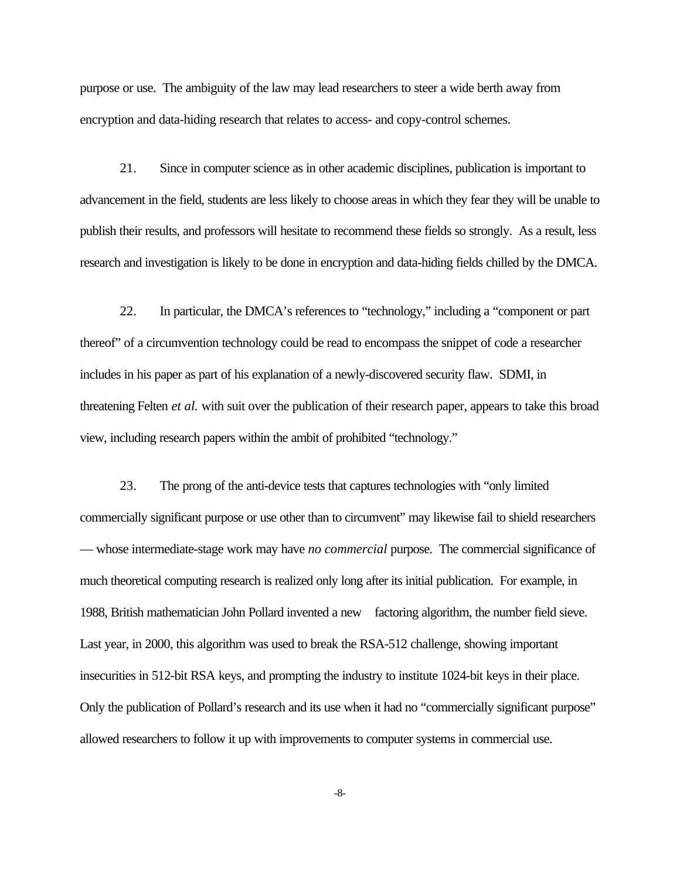purpose or use. The ambiguity of the law may lead researchers to steer a wide berth away from encryption and data-hiding research that relates to access- and copy-control schemes.

21. Since in computer science as in other academic disciplines, publication is important to advancement in the field, students are less likely to choose areas in which they fear they will be unable to publish their results, and professors will hesitate to recommend these fields so strongly. As a result, less research and investigation is likely to be done in encryption and data-hiding fields chilled by the DMCA.

22. In particular, the DMCA's references to "technology," including a "component or part thereof" of a circumvention technology could be read to encompass the snippet of code a researcher includes in his paper as part of his explanation of a newly-discovered security flaw. SDMI, in threatening Felten *et al.* with suit over the publication of their research paper, appears to take this broad view, including research papers within the ambit of prohibited "technology."

23. The prong of the anti-device tests that captures technologies with "only limited commercially significant purpose or use other than to circumvent" may likewise fail to shield researchers — whose intermediate-stage work may have *no commercial* purpose. The commercial significance of much theoretical computing research is realized only long after its initial publication. For example, in 1988, British mathematician John Pollard invented a new factoring algorithm, the number field sieve. Last year, in 2000, this algorithm was used to break the RSA-512 challenge, showing important insecurities in 512-bit RSA keys, and prompting the industry to institute 1024-bit keys in their place. Only the publication of Pollard's research and its use when it had no "commercially significant purpose" allowed researchers to follow it up with improvements to computer systems in commercial use.

-8-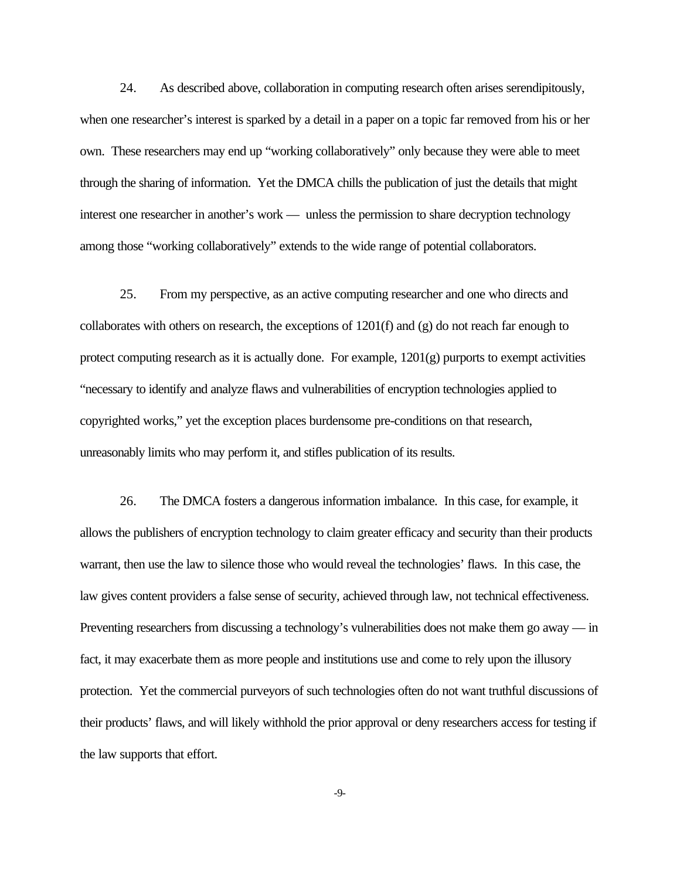24. As described above, collaboration in computing research often arises serendipitously, when one researcher's interest is sparked by a detail in a paper on a topic far removed from his or her own. These researchers may end up "working collaboratively" only because they were able to meet through the sharing of information. Yet the DMCA chills the publication of just the details that might interest one researcher in another's work — unless the permission to share decryption technology among those "working collaboratively" extends to the wide range of potential collaborators.

25. From my perspective, as an active computing researcher and one who directs and collaborates with others on research, the exceptions of 1201(f) and (g) do not reach far enough to protect computing research as it is actually done. For example,  $1201(g)$  purports to exempt activities "necessary to identify and analyze flaws and vulnerabilities of encryption technologies applied to copyrighted works," yet the exception places burdensome pre-conditions on that research, unreasonably limits who may perform it, and stifles publication of its results.

26. The DMCA fosters a dangerous information imbalance. In this case, for example, it allows the publishers of encryption technology to claim greater efficacy and security than their products warrant, then use the law to silence those who would reveal the technologies' flaws. In this case, the law gives content providers a false sense of security, achieved through law, not technical effectiveness. Preventing researchers from discussing a technology's vulnerabilities does not make them go away — in fact, it may exacerbate them as more people and institutions use and come to rely upon the illusory protection. Yet the commercial purveyors of such technologies often do not want truthful discussions of their products' flaws, and will likely withhold the prior approval or deny researchers access for testing if the law supports that effort.

-9-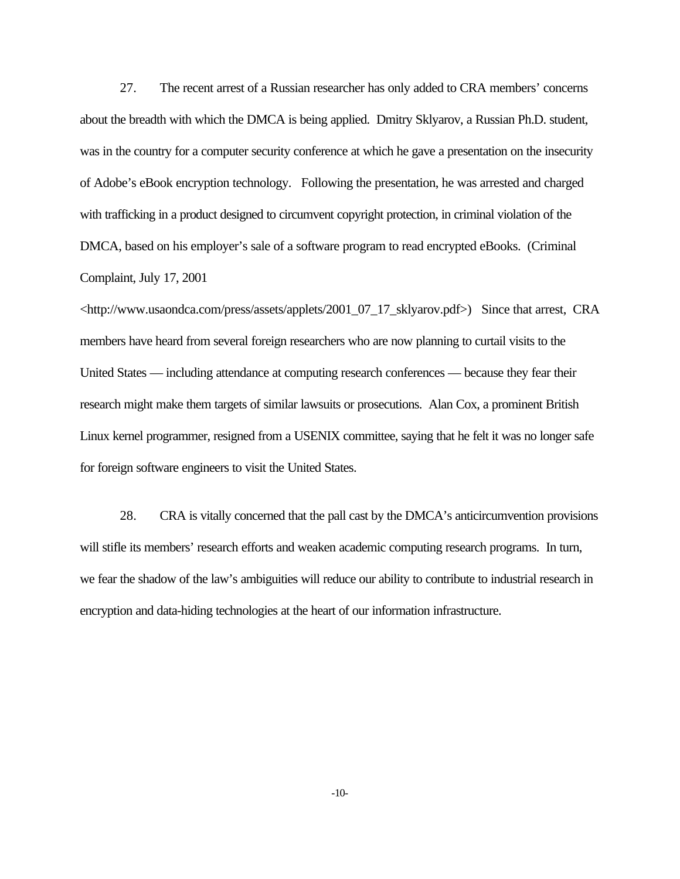27. The recent arrest of a Russian researcher has only added to CRA members' concerns about the breadth with which the DMCA is being applied. Dmitry Sklyarov, a Russian Ph.D. student, was in the country for a computer security conference at which he gave a presentation on the insecurity of Adobe's eBook encryption technology. Following the presentation, he was arrested and charged with trafficking in a product designed to circumvent copyright protection, in criminal violation of the DMCA, based on his employer's sale of a software program to read encrypted eBooks. (Criminal Complaint, July 17, 2001

<http://www.usaondca.com/press/assets/applets/2001\_07\_17\_sklyarov.pdf>) Since that arrest, CRA members have heard from several foreign researchers who are now planning to curtail visits to the United States — including attendance at computing research conferences — because they fear their research might make them targets of similar lawsuits or prosecutions. Alan Cox, a prominent British Linux kernel programmer, resigned from a USENIX committee, saying that he felt it was no longer safe for foreign software engineers to visit the United States.

28. CRA is vitally concerned that the pall cast by the DMCA's anticircumvention provisions will stifle its members' research efforts and weaken academic computing research programs. In turn, we fear the shadow of the law's ambiguities will reduce our ability to contribute to industrial research in encryption and data-hiding technologies at the heart of our information infrastructure.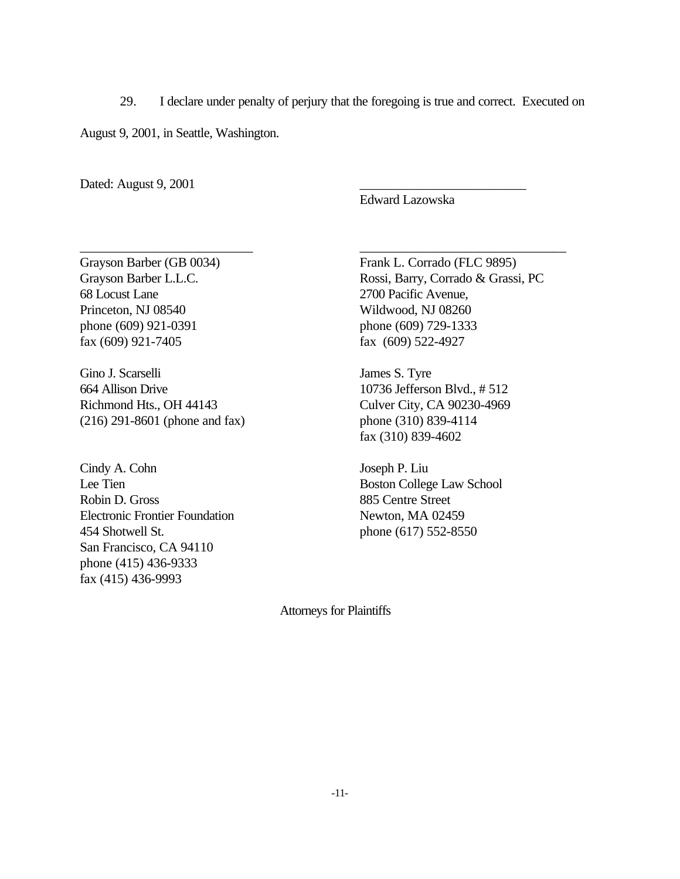29. I declare under penalty of perjury that the foregoing is true and correct. Executed on

\_\_\_\_\_\_\_\_\_\_\_\_\_\_\_\_\_\_\_\_\_\_\_\_\_\_ \_\_\_\_\_\_\_\_\_\_\_\_\_\_\_\_\_\_\_\_\_\_\_\_\_\_\_\_\_\_\_

August 9, 2001, in Seattle, Washington.

Dated: August 9, 2001

Edward Lazowska

68 Locust Lane 2700 Pacific Avenue, Princeton, NJ 08540 Wildwood, NJ 08260 phone (609) 921-0391 phone (609) 729-1333 fax (609) 921-7405 fax (609) 522-4927

Gino J. Scarselli James S. Tyre 664 Allison Drive 10736 Jefferson Blvd., # 512 Richmond Hts., OH 44143 Culver City, CA 90230-4969 (216) 291-8601 (phone and fax) phone (310) 839-4114

Cindy A. Cohn Joseph P. Liu Lee Tien Boston College Law School Robin D. Gross 885 Centre Street Electronic Frontier Foundation Newton, MA 02459 454 Shotwell St. phone (617) 552-8550 San Francisco, CA 94110 phone (415) 436-9333 fax (415) 436-9993

Grayson Barber (GB 0034) Frank L. Corrado (FLC 9895) Grayson Barber L.L.C. Rossi, Barry, Corrado & Grassi, PC

fax (310) 839-4602

Attorneys for Plaintiffs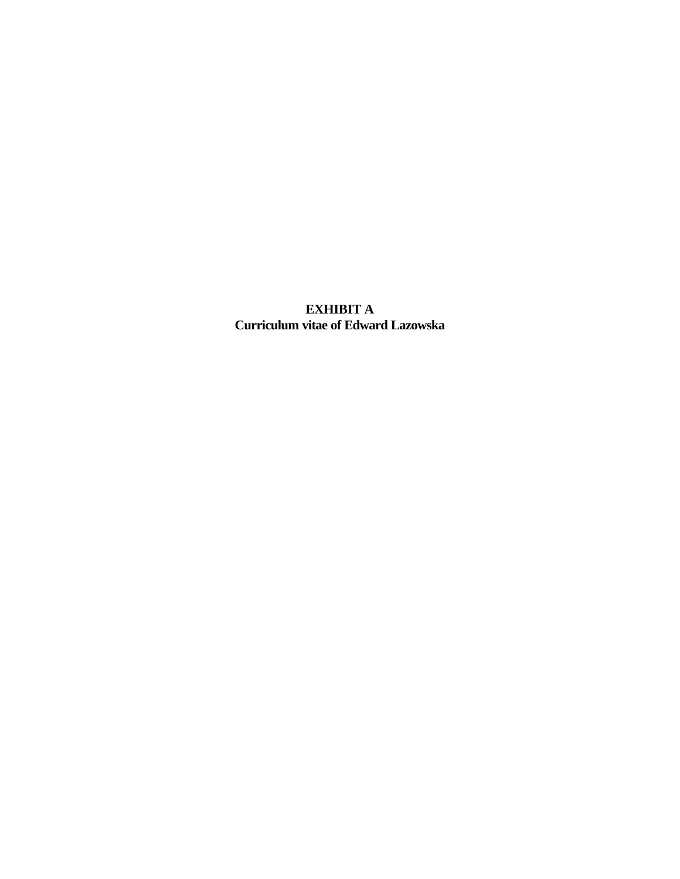**EXHIBIT A Curriculum vitae of Edward Lazowska**